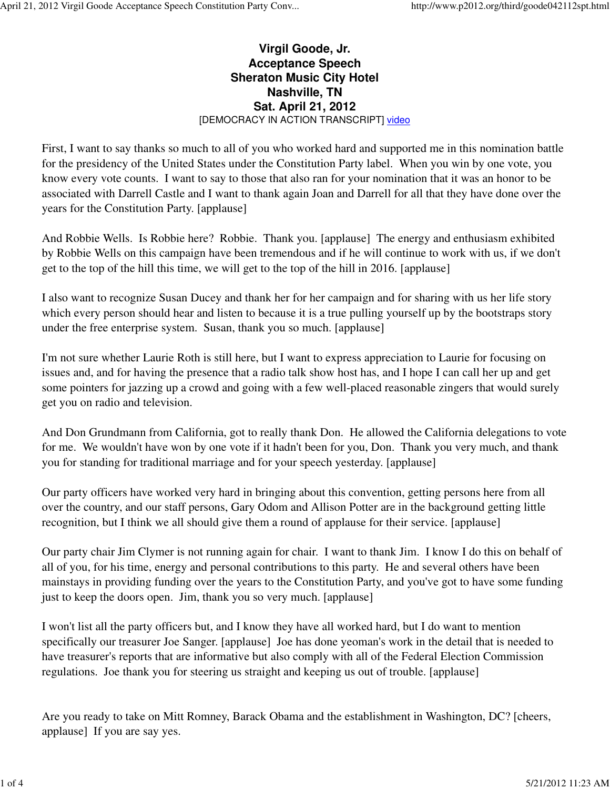## **Virgil Goode, Jr. Acceptance Speech Sheraton Music City Hotel Nashville, TN Sat. April 21, 2012** [DEMOCRACY IN ACTION TRANSCRIPT] video

First, I want to say thanks so much to all of you who worked hard and supported me in this nomination battle for the presidency of the United States under the Constitution Party label. When you win by one vote, you know every vote counts. I want to say to those that also ran for your nomination that it was an honor to be associated with Darrell Castle and I want to thank again Joan and Darrell for all that they have done over the years for the Constitution Party. [applause]

And Robbie Wells. Is Robbie here? Robbie. Thank you. [applause] The energy and enthusiasm exhibited by Robbie Wells on this campaign have been tremendous and if he will continue to work with us, if we don't get to the top of the hill this time, we will get to the top of the hill in 2016. [applause]

I also want to recognize Susan Ducey and thank her for her campaign and for sharing with us her life story which every person should hear and listen to because it is a true pulling yourself up by the bootstraps story under the free enterprise system. Susan, thank you so much. [applause]

I'm not sure whether Laurie Roth is still here, but I want to express appreciation to Laurie for focusing on issues and, and for having the presence that a radio talk show host has, and I hope I can call her up and get some pointers for jazzing up a crowd and going with a few well-placed reasonable zingers that would surely get you on radio and television.

And Don Grundmann from California, got to really thank Don. He allowed the California delegations to vote for me. We wouldn't have won by one vote if it hadn't been for you, Don. Thank you very much, and thank you for standing for traditional marriage and for your speech yesterday. [applause]

Our party officers have worked very hard in bringing about this convention, getting persons here from all over the country, and our staff persons, Gary Odom and Allison Potter are in the background getting little recognition, but I think we all should give them a round of applause for their service. [applause]

Our party chair Jim Clymer is not running again for chair. I want to thank Jim. I know I do this on behalf of all of you, for his time, energy and personal contributions to this party. He and several others have been mainstays in providing funding over the years to the Constitution Party, and you've got to have some funding just to keep the doors open. Jim, thank you so very much. [applause]

I won't list all the party officers but, and I know they have all worked hard, but I do want to mention specifically our treasurer Joe Sanger. [applause] Joe has done yeoman's work in the detail that is needed to have treasurer's reports that are informative but also comply with all of the Federal Election Commission regulations. Joe thank you for steering us straight and keeping us out of trouble. [applause]

Are you ready to take on Mitt Romney, Barack Obama and the establishment in Washington, DC? [cheers, applause] If you are say yes.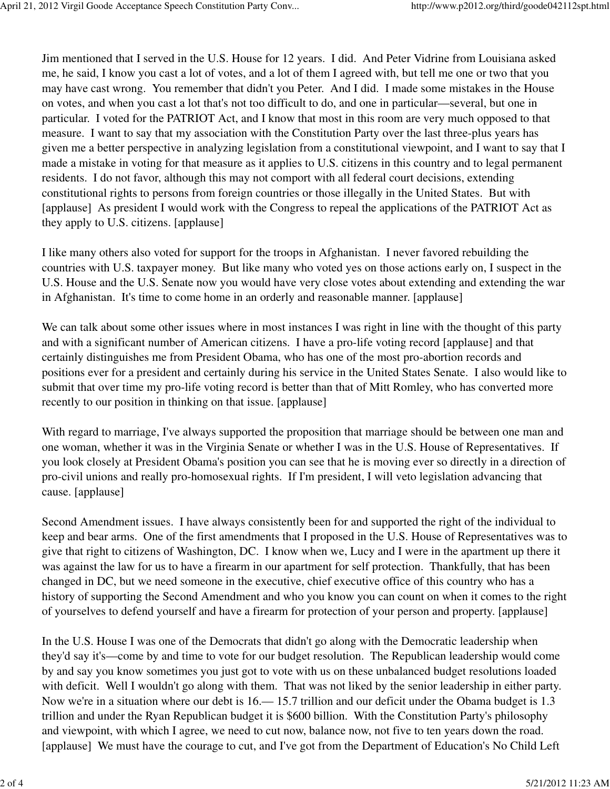Jim mentioned that I served in the U.S. House for 12 years. I did. And Peter Vidrine from Louisiana asked me, he said, I know you cast a lot of votes, and a lot of them I agreed with, but tell me one or two that you may have cast wrong. You remember that didn't you Peter. And I did. I made some mistakes in the House on votes, and when you cast a lot that's not too difficult to do, and one in particular—several, but one in particular. I voted for the PATRIOT Act, and I know that most in this room are very much opposed to that measure. I want to say that my association with the Constitution Party over the last three-plus years has given me a better perspective in analyzing legislation from a constitutional viewpoint, and I want to say that I made a mistake in voting for that measure as it applies to U.S. citizens in this country and to legal permanent residents. I do not favor, although this may not comport with all federal court decisions, extending constitutional rights to persons from foreign countries or those illegally in the United States. But with [applause] As president I would work with the Congress to repeal the applications of the PATRIOT Act as they apply to U.S. citizens. [applause]

I like many others also voted for support for the troops in Afghanistan. I never favored rebuilding the countries with U.S. taxpayer money. But like many who voted yes on those actions early on, I suspect in the U.S. House and the U.S. Senate now you would have very close votes about extending and extending the war in Afghanistan. It's time to come home in an orderly and reasonable manner. [applause]

We can talk about some other issues where in most instances I was right in line with the thought of this party and with a significant number of American citizens. I have a pro-life voting record [applause] and that certainly distinguishes me from President Obama, who has one of the most pro-abortion records and positions ever for a president and certainly during his service in the United States Senate. I also would like to submit that over time my pro-life voting record is better than that of Mitt Romley, who has converted more recently to our position in thinking on that issue. [applause]

With regard to marriage, I've always supported the proposition that marriage should be between one man and one woman, whether it was in the Virginia Senate or whether I was in the U.S. House of Representatives. If you look closely at President Obama's position you can see that he is moving ever so directly in a direction of pro-civil unions and really pro-homosexual rights. If I'm president, I will veto legislation advancing that cause. [applause]

Second Amendment issues. I have always consistently been for and supported the right of the individual to keep and bear arms. One of the first amendments that I proposed in the U.S. House of Representatives was to give that right to citizens of Washington, DC. I know when we, Lucy and I were in the apartment up there it was against the law for us to have a firearm in our apartment for self protection. Thankfully, that has been changed in DC, but we need someone in the executive, chief executive office of this country who has a history of supporting the Second Amendment and who you know you can count on when it comes to the right of yourselves to defend yourself and have a firearm for protection of your person and property. [applause]

In the U.S. House I was one of the Democrats that didn't go along with the Democratic leadership when they'd say it's—come by and time to vote for our budget resolution. The Republican leadership would come by and say you know sometimes you just got to vote with us on these unbalanced budget resolutions loaded with deficit. Well I wouldn't go along with them. That was not liked by the senior leadership in either party. Now we're in a situation where our debt is 16.— 15.7 trillion and our deficit under the Obama budget is 1.3 trillion and under the Ryan Republican budget it is \$600 billion. With the Constitution Party's philosophy and viewpoint, with which I agree, we need to cut now, balance now, not five to ten years down the road. [applause] We must have the courage to cut, and I've got from the Department of Education's No Child Left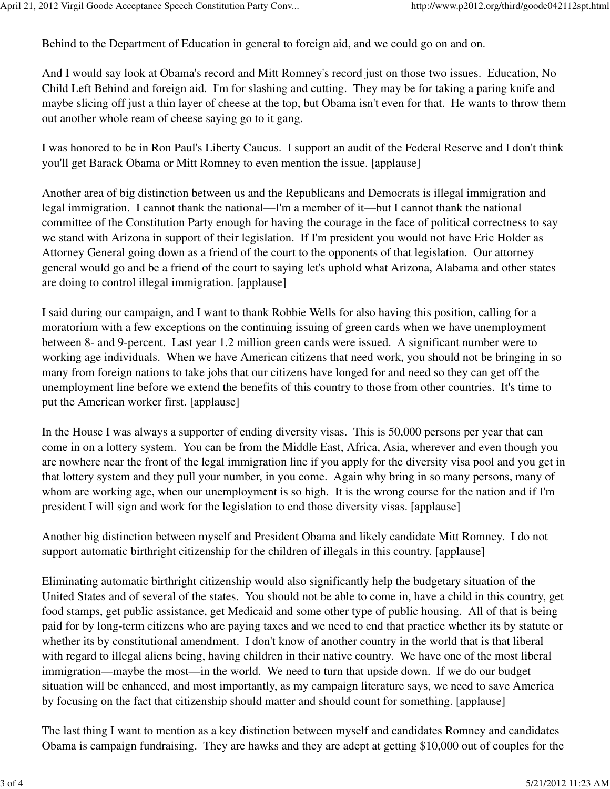Behind to the Department of Education in general to foreign aid, and we could go on and on.

And I would say look at Obama's record and Mitt Romney's record just on those two issues. Education, No Child Left Behind and foreign aid. I'm for slashing and cutting. They may be for taking a paring knife and maybe slicing off just a thin layer of cheese at the top, but Obama isn't even for that. He wants to throw them out another whole ream of cheese saying go to it gang.

I was honored to be in Ron Paul's Liberty Caucus. I support an audit of the Federal Reserve and I don't think you'll get Barack Obama or Mitt Romney to even mention the issue. [applause]

Another area of big distinction between us and the Republicans and Democrats is illegal immigration and legal immigration. I cannot thank the national—I'm a member of it—but I cannot thank the national committee of the Constitution Party enough for having the courage in the face of political correctness to say we stand with Arizona in support of their legislation. If I'm president you would not have Eric Holder as Attorney General going down as a friend of the court to the opponents of that legislation. Our attorney general would go and be a friend of the court to saying let's uphold what Arizona, Alabama and other states are doing to control illegal immigration. [applause]

I said during our campaign, and I want to thank Robbie Wells for also having this position, calling for a moratorium with a few exceptions on the continuing issuing of green cards when we have unemployment between 8- and 9-percent. Last year 1.2 million green cards were issued. A significant number were to working age individuals. When we have American citizens that need work, you should not be bringing in so many from foreign nations to take jobs that our citizens have longed for and need so they can get off the unemployment line before we extend the benefits of this country to those from other countries. It's time to put the American worker first. [applause]

In the House I was always a supporter of ending diversity visas. This is 50,000 persons per year that can come in on a lottery system. You can be from the Middle East, Africa, Asia, wherever and even though you are nowhere near the front of the legal immigration line if you apply for the diversity visa pool and you get in that lottery system and they pull your number, in you come. Again why bring in so many persons, many of whom are working age, when our unemployment is so high. It is the wrong course for the nation and if I'm president I will sign and work for the legislation to end those diversity visas. [applause]

Another big distinction between myself and President Obama and likely candidate Mitt Romney. I do not support automatic birthright citizenship for the children of illegals in this country. [applause]

Eliminating automatic birthright citizenship would also significantly help the budgetary situation of the United States and of several of the states. You should not be able to come in, have a child in this country, get food stamps, get public assistance, get Medicaid and some other type of public housing. All of that is being paid for by long-term citizens who are paying taxes and we need to end that practice whether its by statute or whether its by constitutional amendment. I don't know of another country in the world that is that liberal with regard to illegal aliens being, having children in their native country. We have one of the most liberal immigration—maybe the most—in the world. We need to turn that upside down. If we do our budget situation will be enhanced, and most importantly, as my campaign literature says, we need to save America by focusing on the fact that citizenship should matter and should count for something. [applause]

The last thing I want to mention as a key distinction between myself and candidates Romney and candidates Obama is campaign fundraising. They are hawks and they are adept at getting \$10,000 out of couples for the